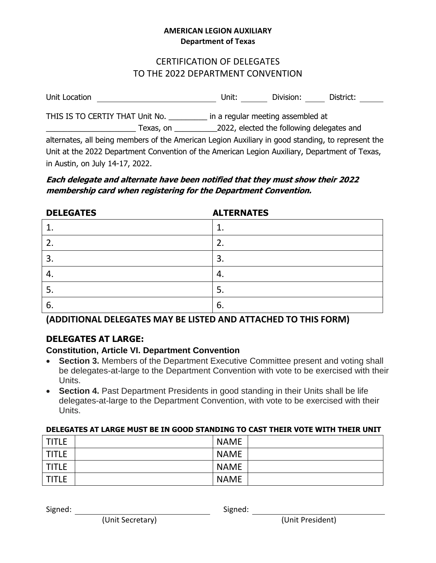#### **AMERICAN LEGION AUXILIARY Department of Texas**

## CERTIFICATION OF DELEGATES TO THE 2022 DEPARTMENT CONVENTION

Unit Location Unit: Division: District:

THIS IS TO CERTIY THAT Unit No. \_\_\_\_\_\_\_\_\_ in a regular meeting assembled at

\_\_\_\_\_\_\_\_\_\_\_\_\_\_\_\_\_\_\_\_\_ Texas, on \_\_\_\_\_\_\_\_\_\_2022, elected the following delegates and

alternates, all being members of the American Legion Auxiliary in good standing, to represent the Unit at the 2022 Department Convention of the American Legion Auxiliary, Department of Texas, in Austin, on July 14-17, 2022.

## **Each delegate and alternate have been notified that they must show their 2022 membership card when registering for the Department Convention.**

| <b>DELEGATES</b> | <b>ALTERNATES</b> |
|------------------|-------------------|
|                  |                   |
| 2.               |                   |
| 3.               | 3.                |
| 4.               | 4.                |
| כ.               | 5.                |
| 6.               | -6.               |

**(ADDITIONAL DELEGATES MAY BE LISTED AND ATTACHED TO THIS FORM)** 

# **DELEGATES AT LARGE:**

#### **Constitution, Article VI. Department Convention**

- **Section 3.** Members of the Department Executive Committee present and voting shall be delegates-at-large to the Department Convention with vote to be exercised with their Units.
- **Section 4.** Past Department Presidents in good standing in their Units shall be life delegates-at-large to the Department Convention, with vote to be exercised with their Units.

#### **DELEGATES AT LARGE MUST BE IN GOOD STANDING TO CAST THEIR VOTE WITH THEIR UNIT**

| <b>TITLE</b> | <b>NAME</b> |  |
|--------------|-------------|--|
| <b>TITLE</b> | <b>NAME</b> |  |
| <b>TITLE</b> | <b>NAME</b> |  |
| <b>TITLE</b> | <b>NAME</b> |  |

(Unit Secretary) (Unit President)

Signed: Signed: